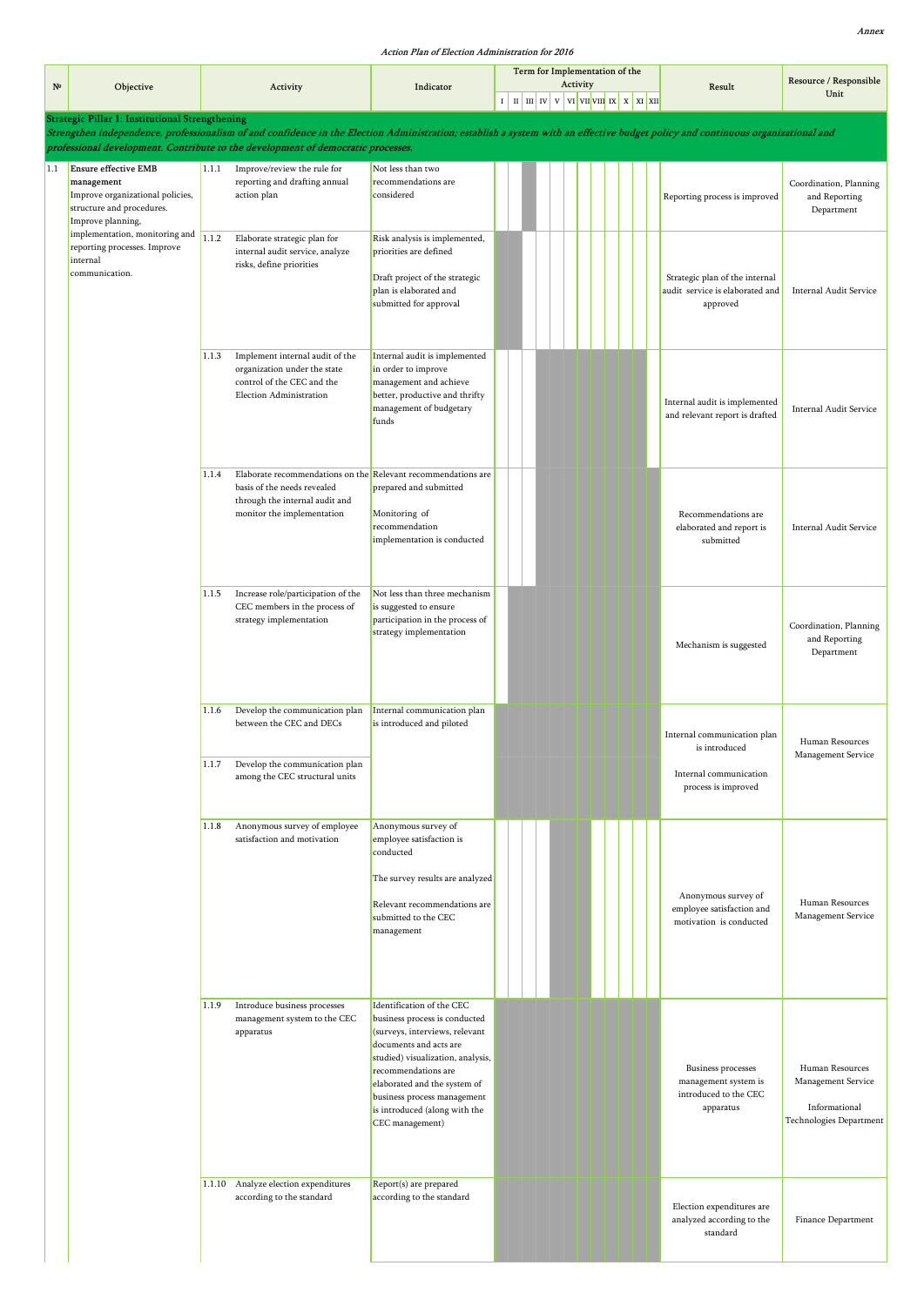|             |                                                                                                  |        |                                                                                                                                                                                                                                                                     |                                                                                                                                                                                                                                                                                                       |   | Term for Implementation of the | Activity |  |  |                                                                                  | Resource / Responsible                                                            |
|-------------|--------------------------------------------------------------------------------------------------|--------|---------------------------------------------------------------------------------------------------------------------------------------------------------------------------------------------------------------------------------------------------------------------|-------------------------------------------------------------------------------------------------------------------------------------------------------------------------------------------------------------------------------------------------------------------------------------------------------|---|--------------------------------|----------|--|--|----------------------------------------------------------------------------------|-----------------------------------------------------------------------------------|
| $N^{\circ}$ | Objective                                                                                        |        | Activity                                                                                                                                                                                                                                                            | Indicator                                                                                                                                                                                                                                                                                             | 1 |                                |          |  |  | Result                                                                           | Unit                                                                              |
|             | Strategic Pillar 1: Institutional Strengthening                                                  |        |                                                                                                                                                                                                                                                                     |                                                                                                                                                                                                                                                                                                       |   |                                |          |  |  |                                                                                  |                                                                                   |
|             |                                                                                                  |        | Strengthen independence, professionalism of and confidence in the Election Administration; establish a system with an effective budget policy and continuous organizational and<br>professional development. Contribute to the development of democratic processes. |                                                                                                                                                                                                                                                                                                       |   |                                |          |  |  |                                                                                  |                                                                                   |
| 1.1         | <b>Ensure effective EMB</b>                                                                      | 1.1.1  | Improve/review the rule for                                                                                                                                                                                                                                         | Not less than two                                                                                                                                                                                                                                                                                     |   |                                |          |  |  |                                                                                  |                                                                                   |
|             | management<br>Improve organizational policies,<br>structure and procedures.<br>Improve planning, |        | reporting and drafting annual<br>action plan                                                                                                                                                                                                                        | recommendations are<br>considered                                                                                                                                                                                                                                                                     |   |                                |          |  |  | Reporting process is improved                                                    | Coordination, Planning<br>and Reporting<br>Department                             |
|             | implementation, monitoring and<br>reporting processes. Improve<br>internal<br>communication.     | 1.1.2  | Elaborate strategic plan for<br>internal audit service, analyze<br>risks, define priorities                                                                                                                                                                         | Risk analysis is implemented,<br>priorities are defined<br>Draft project of the strategic<br>plan is elaborated and<br>submitted for approval                                                                                                                                                         |   |                                |          |  |  | Strategic plan of the internal<br>audit service is elaborated and<br>approved    | Internal Audit Service                                                            |
|             |                                                                                                  | 1.1.3  | Implement internal audit of the<br>organization under the state<br>control of the CEC and the<br>Election Administration                                                                                                                                            | Internal audit is implemented<br>in order to improve<br>management and achieve<br>better, productive and thrifty<br>management of budgetary<br>funds                                                                                                                                                  |   |                                |          |  |  | Internal audit is implemented<br>and relevant report is drafted                  | Internal Audit Service                                                            |
|             |                                                                                                  | 1.1.4  | Elaborate recommendations on the Relevant recommendations are<br>basis of the needs revealed<br>through the internal audit and<br>monitor the implementation                                                                                                        | prepared and submitted<br>Monitoring of<br>recommendation<br>implementation is conducted                                                                                                                                                                                                              |   |                                |          |  |  | Recommendations are<br>elaborated and report is<br>submitted                     | Internal Audit Service                                                            |
|             |                                                                                                  | 1.1.5  | Increase role/participation of the<br>CEC members in the process of<br>strategy implementation                                                                                                                                                                      | Not less than three mechanism<br>is suggested to ensure<br>participation in the process of<br>strategy implementation                                                                                                                                                                                 |   |                                |          |  |  | Mechanism is suggested                                                           | Coordination, Planning<br>and Reporting<br>Department                             |
|             |                                                                                                  | 1.1.6  | Develop the communication plan<br>between the CEC and DECs<br>1.1.7 Develop the communication plan                                                                                                                                                                  | Internal communication plan<br>is introduced and piloted                                                                                                                                                                                                                                              |   |                                |          |  |  | Internal communication plan<br>is introduced<br>Internal communication           | Human Resources<br>Management Service                                             |
|             |                                                                                                  |        | among the CEC structural units                                                                                                                                                                                                                                      |                                                                                                                                                                                                                                                                                                       |   |                                |          |  |  | process is improved                                                              |                                                                                   |
|             |                                                                                                  | 1.1.8  | Anonymous survey of employee<br>satisfaction and motivation                                                                                                                                                                                                         | Anonymous survey of<br>employee satisfaction is<br>conducted<br>The survey results are analyzed<br>Relevant recommendations are<br>submitted to the CEC<br>management                                                                                                                                 |   |                                |          |  |  | Anonymous survey of<br>employee satisfaction and<br>motivation is conducted      | Human Resources<br>Management Service                                             |
|             |                                                                                                  | 1.1.9  | Introduce business processes<br>management system to the CEC<br>apparatus                                                                                                                                                                                           | Identification of the CEC<br>business process is conducted<br>(surveys, interviews, relevant<br>documents and acts are<br>studied) visualization, analysis,<br>recommendations are<br>elaborated and the system of<br>business process management<br>is introduced (along with the<br>CEC management) |   |                                |          |  |  | Business processes<br>management system is<br>introduced to the CEC<br>apparatus | Human Resources<br>Management Service<br>Informational<br>Technologies Department |
|             |                                                                                                  | 1.1.10 | Analyze election expenditures<br>according to the standard                                                                                                                                                                                                          | Report(s) are prepared<br>according to the standard                                                                                                                                                                                                                                                   |   |                                |          |  |  | Election expenditures are<br>analyzed according to the<br>standard               | Finance Department                                                                |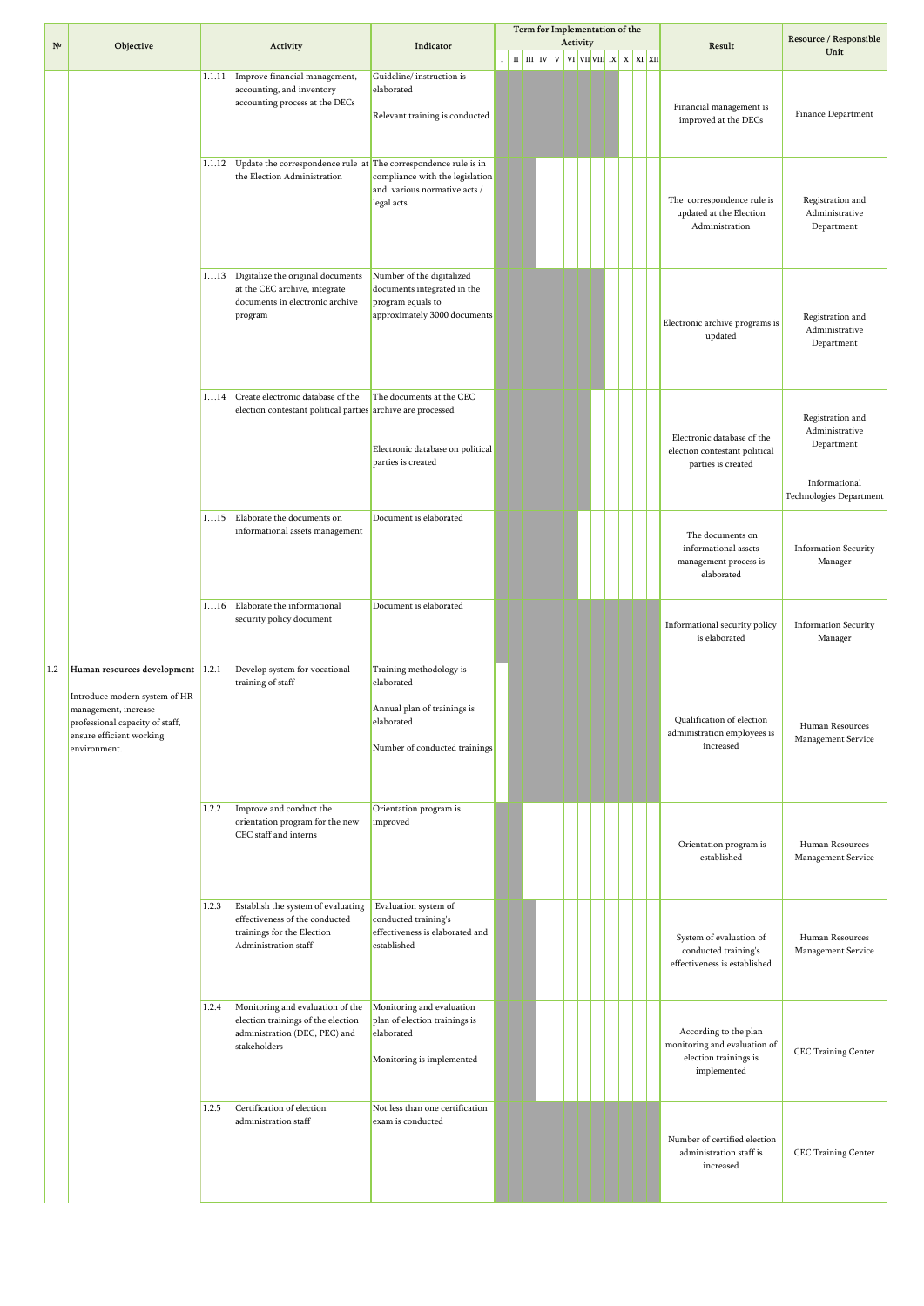|             |                                                                                                                                                                           |        |                                                                                                                            |                                                                                                                     |         |  |                        | Term for Implementation of the                                                       |  |  |                                                                                               |                                                                                              |
|-------------|---------------------------------------------------------------------------------------------------------------------------------------------------------------------------|--------|----------------------------------------------------------------------------------------------------------------------------|---------------------------------------------------------------------------------------------------------------------|---------|--|------------------------|--------------------------------------------------------------------------------------|--|--|-----------------------------------------------------------------------------------------------|----------------------------------------------------------------------------------------------|
| $N^{\circ}$ | Objective                                                                                                                                                                 |        | Activity                                                                                                                   | Indicator                                                                                                           |         |  |                        | Activity                                                                             |  |  | Result                                                                                        | Resource / Responsible<br>Unit                                                               |
|             |                                                                                                                                                                           |        |                                                                                                                            |                                                                                                                     | $\bf I$ |  | $\ $ II $\ $ IV $\ $ V | $\overline{v}$ vi $\overline{v}$ vi $\overline{v}$ x $\overline{x}$ x $\overline{x}$ |  |  |                                                                                               |                                                                                              |
|             |                                                                                                                                                                           | 1.1.11 | Improve financial management,<br>accounting, and inventory<br>accounting process at the DECs                               | Guideline/instruction is<br>elaborated<br>Relevant training is conducted                                            |         |  |                        |                                                                                      |  |  | Financial management is<br>improved at the DECs                                               | Finance Department                                                                           |
|             |                                                                                                                                                                           | 1.1.12 | Update the correspondence rule $at$ The correspondence rule is in<br>the Election Administration                           | compliance with the legislation<br>and various normative acts /<br>legal acts                                       |         |  |                        |                                                                                      |  |  | The correspondence rule is<br>updated at the Election<br>Administration                       | Registration and<br>Administrative<br>Department                                             |
|             |                                                                                                                                                                           | 1.1.13 | Digitalize the original documents<br>at the CEC archive, integrate<br>documents in electronic archive<br>program           | Number of the digitalized<br>documents integrated in the<br>program equals to<br>approximately 3000 documents       |         |  |                        |                                                                                      |  |  | Electronic archive programs is<br>updated                                                     | Registration and<br>Administrative<br>Department                                             |
|             |                                                                                                                                                                           | 1.1.14 | Create electronic database of the<br>election contestant political parties archive are processed                           | The documents at the CEC<br>Electronic database on political<br>parties is created                                  |         |  |                        |                                                                                      |  |  | Electronic database of the<br>election contestant political<br>parties is created             | Registration and<br>Administrative<br>Department<br>Informational<br>Technologies Department |
|             |                                                                                                                                                                           | 1.1.15 | Elaborate the documents on<br>informational assets management                                                              | Document is elaborated                                                                                              |         |  |                        |                                                                                      |  |  | The documents on<br>informational assets<br>management process is<br>elaborated               | <b>Information Security</b><br>Manager                                                       |
|             |                                                                                                                                                                           |        | 1.1.16 Elaborate the informational<br>security policy document                                                             | Document is elaborated                                                                                              |         |  |                        |                                                                                      |  |  | Informational security policy<br>is elaborated                                                | <b>Information Security</b><br>Manager                                                       |
| 1.2         | Human resources development 1.2.1<br>Introduce modern system of HR<br>management, increase<br>professional capacity of staff,<br>ensure efficient working<br>environment. |        | Develop system for vocational<br>training of staff                                                                         | Training methodology is<br>elaborated<br>Annual plan of trainings is<br>elaborated<br>Number of conducted trainings |         |  |                        |                                                                                      |  |  | Qualification of election<br>administration employees is<br>increased                         | Human Resources<br>Management Service                                                        |
|             |                                                                                                                                                                           | 1.2.2  | Improve and conduct the<br>orientation program for the new<br>CEC staff and interns                                        | Orientation program is<br>improved                                                                                  |         |  |                        |                                                                                      |  |  | Orientation program is<br>established                                                         | Human Resources<br>Management Service                                                        |
|             |                                                                                                                                                                           | 1.2.3  | Establish the system of evaluating<br>effectiveness of the conducted<br>trainings for the Election<br>Administration staff | Evaluation system of<br>conducted training's<br>effectiveness is elaborated and<br>established                      |         |  |                        |                                                                                      |  |  | System of evaluation of<br>conducted training's<br>effectiveness is established               | Human Resources<br>Management Service                                                        |
|             |                                                                                                                                                                           | 1.2.4  | Monitoring and evaluation of the<br>election trainings of the election<br>administration (DEC, PEC) and<br>stakeholders    | Monitoring and evaluation<br>plan of election trainings is<br>elaborated<br>Monitoring is implemented               |         |  |                        |                                                                                      |  |  | According to the plan<br>monitoring and evaluation of<br>election trainings is<br>implemented | CEC Training Center                                                                          |
|             |                                                                                                                                                                           | 1.2.5  | Certification of election<br>administration staff                                                                          | Not less than one certification<br>exam is conducted                                                                |         |  |                        |                                                                                      |  |  | Number of certified election<br>administration staff is<br>increased                          | CEC Training Center                                                                          |
|             |                                                                                                                                                                           |        |                                                                                                                            |                                                                                                                     |         |  |                        |                                                                                      |  |  |                                                                                               |                                                                                              |

H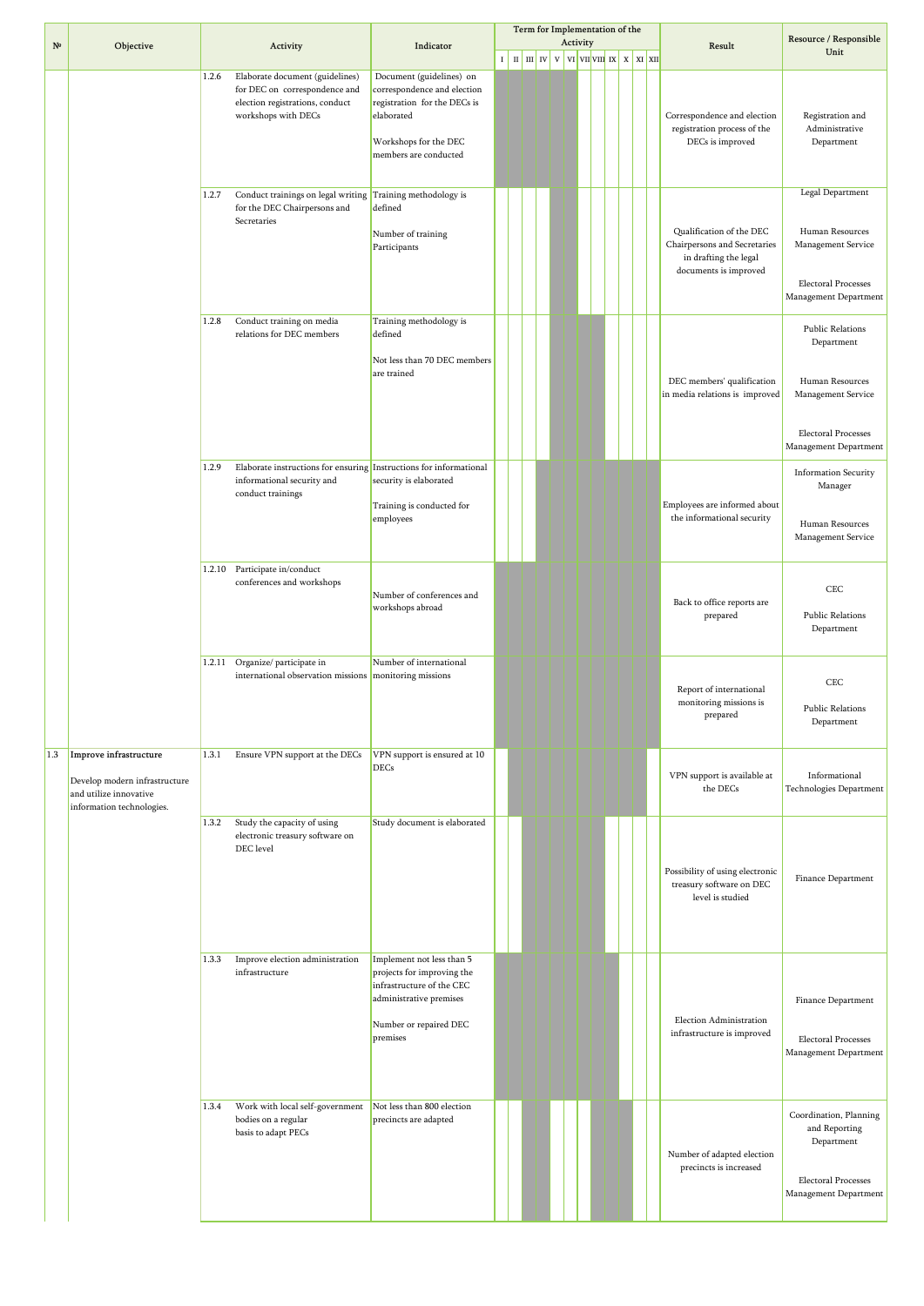| Activity<br>$N^{\Omega}$<br>Objective<br>Activity<br>Indicator<br>Result<br>Unit<br>$\mathbb{H}$ $\mathbb{H}$ $\mathbb{W}$ $\mathbb{V}$ $\mathbb{V}$<br>$\mathbf{v}$ i vii vii $\mathbf{v}$ i x $\mathbf{x}$ xi xii<br>$\;$ I<br>1.2.6<br>Elaborate document (guidelines)<br>Document (guidelines) on<br>for DEC on correspondence and<br>correspondence and election<br>election registrations, conduct<br>registration for the DECs is<br>workshops with DECs<br>elaborated<br>Correspondence and election<br>registration process of the<br>Workshops for the DEC<br>DECs is improved<br>members are conducted<br>1.2.7<br>Conduct trainings on legal writing Training methodology is<br>for the DEC Chairpersons and<br>defined<br>Secretaries<br>Qualification of the DEC<br>Number of training<br>Chairpersons and Secretaries<br>Participants<br>in drafting the legal<br>documents is improved<br>1.2.8<br>Conduct training on media<br>Training methodology is<br>relations for DEC members<br>defined<br>Not less than 70 DEC members<br>are trained<br>DEC members' qualification<br>in media relations is improved<br>1.2.9<br>Elaborate instructions for ensuring Instructions for informational<br><b>Information Security</b><br>security is elaborated<br>informational security and<br>conduct trainings<br>Employees are informed about<br>Training is conducted for<br>the informational security<br>employees<br>1.2.10<br>Participate in/conduct<br>conferences and workshops<br>Number of conferences and<br>Back to office reports are<br>workshops abroad<br>prepared<br>1.2.11<br>Number of international<br>Organize/ participate in<br>international observation missions monitoring missions<br>Report of international<br>monitoring missions is<br>prepared<br>Ensure VPN support at the DECs<br>1.3<br>Improve infrastructure<br>1.3.1<br>VPN support is ensured at 10<br>DECs<br>VPN support is available at<br>Develop modern infrastructure<br>the DECs<br>and utilize innovative<br>information technologies.<br>1.3.2<br>Study the capacity of using<br>Study document is elaborated<br>electronic treasury software on<br>DEC level<br>Possibility of using electronic<br>treasury software on DEC<br>level is studied<br>Implement not less than 5<br>1.3.3<br>Improve election administration<br>infrastructure<br>projects for improving the<br>infrastructure of the CEC<br>administrative premises<br>Election Administration<br>Number or repaired DEC<br>infrastructure is improved<br>premises<br>Not less than 800 election<br>Work with local self-government<br>1.3.4<br>bodies on a regular<br>precincts are adapted<br>basis to adapt PECs<br>Number of adapted election<br>precincts is increased |  |  |  |  |  | Term for Implementation of the |  |  |  |                                                                                                              |
|------------------------------------------------------------------------------------------------------------------------------------------------------------------------------------------------------------------------------------------------------------------------------------------------------------------------------------------------------------------------------------------------------------------------------------------------------------------------------------------------------------------------------------------------------------------------------------------------------------------------------------------------------------------------------------------------------------------------------------------------------------------------------------------------------------------------------------------------------------------------------------------------------------------------------------------------------------------------------------------------------------------------------------------------------------------------------------------------------------------------------------------------------------------------------------------------------------------------------------------------------------------------------------------------------------------------------------------------------------------------------------------------------------------------------------------------------------------------------------------------------------------------------------------------------------------------------------------------------------------------------------------------------------------------------------------------------------------------------------------------------------------------------------------------------------------------------------------------------------------------------------------------------------------------------------------------------------------------------------------------------------------------------------------------------------------------------------------------------------------------------------------------------------------------------------------------------------------------------------------------------------------------------------------------------------------------------------------------------------------------------------------------------------------------------------------------------------------------------------------------------------------------------------------------------------------------------------------------------------------------------------------------------------------------------------------------------------------------------------------------------|--|--|--|--|--|--------------------------------|--|--|--|--------------------------------------------------------------------------------------------------------------|
|                                                                                                                                                                                                                                                                                                                                                                                                                                                                                                                                                                                                                                                                                                                                                                                                                                                                                                                                                                                                                                                                                                                                                                                                                                                                                                                                                                                                                                                                                                                                                                                                                                                                                                                                                                                                                                                                                                                                                                                                                                                                                                                                                                                                                                                                                                                                                                                                                                                                                                                                                                                                                                                                                                                                                      |  |  |  |  |  |                                |  |  |  | Resource / Responsible                                                                                       |
|                                                                                                                                                                                                                                                                                                                                                                                                                                                                                                                                                                                                                                                                                                                                                                                                                                                                                                                                                                                                                                                                                                                                                                                                                                                                                                                                                                                                                                                                                                                                                                                                                                                                                                                                                                                                                                                                                                                                                                                                                                                                                                                                                                                                                                                                                                                                                                                                                                                                                                                                                                                                                                                                                                                                                      |  |  |  |  |  |                                |  |  |  |                                                                                                              |
|                                                                                                                                                                                                                                                                                                                                                                                                                                                                                                                                                                                                                                                                                                                                                                                                                                                                                                                                                                                                                                                                                                                                                                                                                                                                                                                                                                                                                                                                                                                                                                                                                                                                                                                                                                                                                                                                                                                                                                                                                                                                                                                                                                                                                                                                                                                                                                                                                                                                                                                                                                                                                                                                                                                                                      |  |  |  |  |  |                                |  |  |  | Registration and<br>Administrative<br>Department                                                             |
|                                                                                                                                                                                                                                                                                                                                                                                                                                                                                                                                                                                                                                                                                                                                                                                                                                                                                                                                                                                                                                                                                                                                                                                                                                                                                                                                                                                                                                                                                                                                                                                                                                                                                                                                                                                                                                                                                                                                                                                                                                                                                                                                                                                                                                                                                                                                                                                                                                                                                                                                                                                                                                                                                                                                                      |  |  |  |  |  |                                |  |  |  | Legal Department                                                                                             |
|                                                                                                                                                                                                                                                                                                                                                                                                                                                                                                                                                                                                                                                                                                                                                                                                                                                                                                                                                                                                                                                                                                                                                                                                                                                                                                                                                                                                                                                                                                                                                                                                                                                                                                                                                                                                                                                                                                                                                                                                                                                                                                                                                                                                                                                                                                                                                                                                                                                                                                                                                                                                                                                                                                                                                      |  |  |  |  |  |                                |  |  |  | Human Resources<br>Management Service<br><b>Electoral Processes</b><br>Management Department                 |
|                                                                                                                                                                                                                                                                                                                                                                                                                                                                                                                                                                                                                                                                                                                                                                                                                                                                                                                                                                                                                                                                                                                                                                                                                                                                                                                                                                                                                                                                                                                                                                                                                                                                                                                                                                                                                                                                                                                                                                                                                                                                                                                                                                                                                                                                                                                                                                                                                                                                                                                                                                                                                                                                                                                                                      |  |  |  |  |  |                                |  |  |  | <b>Public Relations</b><br>Department                                                                        |
|                                                                                                                                                                                                                                                                                                                                                                                                                                                                                                                                                                                                                                                                                                                                                                                                                                                                                                                                                                                                                                                                                                                                                                                                                                                                                                                                                                                                                                                                                                                                                                                                                                                                                                                                                                                                                                                                                                                                                                                                                                                                                                                                                                                                                                                                                                                                                                                                                                                                                                                                                                                                                                                                                                                                                      |  |  |  |  |  |                                |  |  |  | Human Resources<br>Management Service                                                                        |
|                                                                                                                                                                                                                                                                                                                                                                                                                                                                                                                                                                                                                                                                                                                                                                                                                                                                                                                                                                                                                                                                                                                                                                                                                                                                                                                                                                                                                                                                                                                                                                                                                                                                                                                                                                                                                                                                                                                                                                                                                                                                                                                                                                                                                                                                                                                                                                                                                                                                                                                                                                                                                                                                                                                                                      |  |  |  |  |  |                                |  |  |  | <b>Electoral Processes</b><br>Management Department                                                          |
|                                                                                                                                                                                                                                                                                                                                                                                                                                                                                                                                                                                                                                                                                                                                                                                                                                                                                                                                                                                                                                                                                                                                                                                                                                                                                                                                                                                                                                                                                                                                                                                                                                                                                                                                                                                                                                                                                                                                                                                                                                                                                                                                                                                                                                                                                                                                                                                                                                                                                                                                                                                                                                                                                                                                                      |  |  |  |  |  |                                |  |  |  | Manager<br>Human Resources                                                                                   |
|                                                                                                                                                                                                                                                                                                                                                                                                                                                                                                                                                                                                                                                                                                                                                                                                                                                                                                                                                                                                                                                                                                                                                                                                                                                                                                                                                                                                                                                                                                                                                                                                                                                                                                                                                                                                                                                                                                                                                                                                                                                                                                                                                                                                                                                                                                                                                                                                                                                                                                                                                                                                                                                                                                                                                      |  |  |  |  |  |                                |  |  |  | Management Service                                                                                           |
|                                                                                                                                                                                                                                                                                                                                                                                                                                                                                                                                                                                                                                                                                                                                                                                                                                                                                                                                                                                                                                                                                                                                                                                                                                                                                                                                                                                                                                                                                                                                                                                                                                                                                                                                                                                                                                                                                                                                                                                                                                                                                                                                                                                                                                                                                                                                                                                                                                                                                                                                                                                                                                                                                                                                                      |  |  |  |  |  |                                |  |  |  | CEC<br><b>Public Relations</b><br>Department                                                                 |
|                                                                                                                                                                                                                                                                                                                                                                                                                                                                                                                                                                                                                                                                                                                                                                                                                                                                                                                                                                                                                                                                                                                                                                                                                                                                                                                                                                                                                                                                                                                                                                                                                                                                                                                                                                                                                                                                                                                                                                                                                                                                                                                                                                                                                                                                                                                                                                                                                                                                                                                                                                                                                                                                                                                                                      |  |  |  |  |  |                                |  |  |  | CEC<br><b>Public Relations</b><br>Department                                                                 |
|                                                                                                                                                                                                                                                                                                                                                                                                                                                                                                                                                                                                                                                                                                                                                                                                                                                                                                                                                                                                                                                                                                                                                                                                                                                                                                                                                                                                                                                                                                                                                                                                                                                                                                                                                                                                                                                                                                                                                                                                                                                                                                                                                                                                                                                                                                                                                                                                                                                                                                                                                                                                                                                                                                                                                      |  |  |  |  |  |                                |  |  |  | Informational<br>Technologies Department                                                                     |
|                                                                                                                                                                                                                                                                                                                                                                                                                                                                                                                                                                                                                                                                                                                                                                                                                                                                                                                                                                                                                                                                                                                                                                                                                                                                                                                                                                                                                                                                                                                                                                                                                                                                                                                                                                                                                                                                                                                                                                                                                                                                                                                                                                                                                                                                                                                                                                                                                                                                                                                                                                                                                                                                                                                                                      |  |  |  |  |  |                                |  |  |  | Finance Department                                                                                           |
|                                                                                                                                                                                                                                                                                                                                                                                                                                                                                                                                                                                                                                                                                                                                                                                                                                                                                                                                                                                                                                                                                                                                                                                                                                                                                                                                                                                                                                                                                                                                                                                                                                                                                                                                                                                                                                                                                                                                                                                                                                                                                                                                                                                                                                                                                                                                                                                                                                                                                                                                                                                                                                                                                                                                                      |  |  |  |  |  |                                |  |  |  | Finance Department<br><b>Electoral Processes</b><br>Management Department                                    |
|                                                                                                                                                                                                                                                                                                                                                                                                                                                                                                                                                                                                                                                                                                                                                                                                                                                                                                                                                                                                                                                                                                                                                                                                                                                                                                                                                                                                                                                                                                                                                                                                                                                                                                                                                                                                                                                                                                                                                                                                                                                                                                                                                                                                                                                                                                                                                                                                                                                                                                                                                                                                                                                                                                                                                      |  |  |  |  |  |                                |  |  |  | Coordination, Planning<br>and Reporting<br>Department<br><b>Electoral Processes</b><br>Management Department |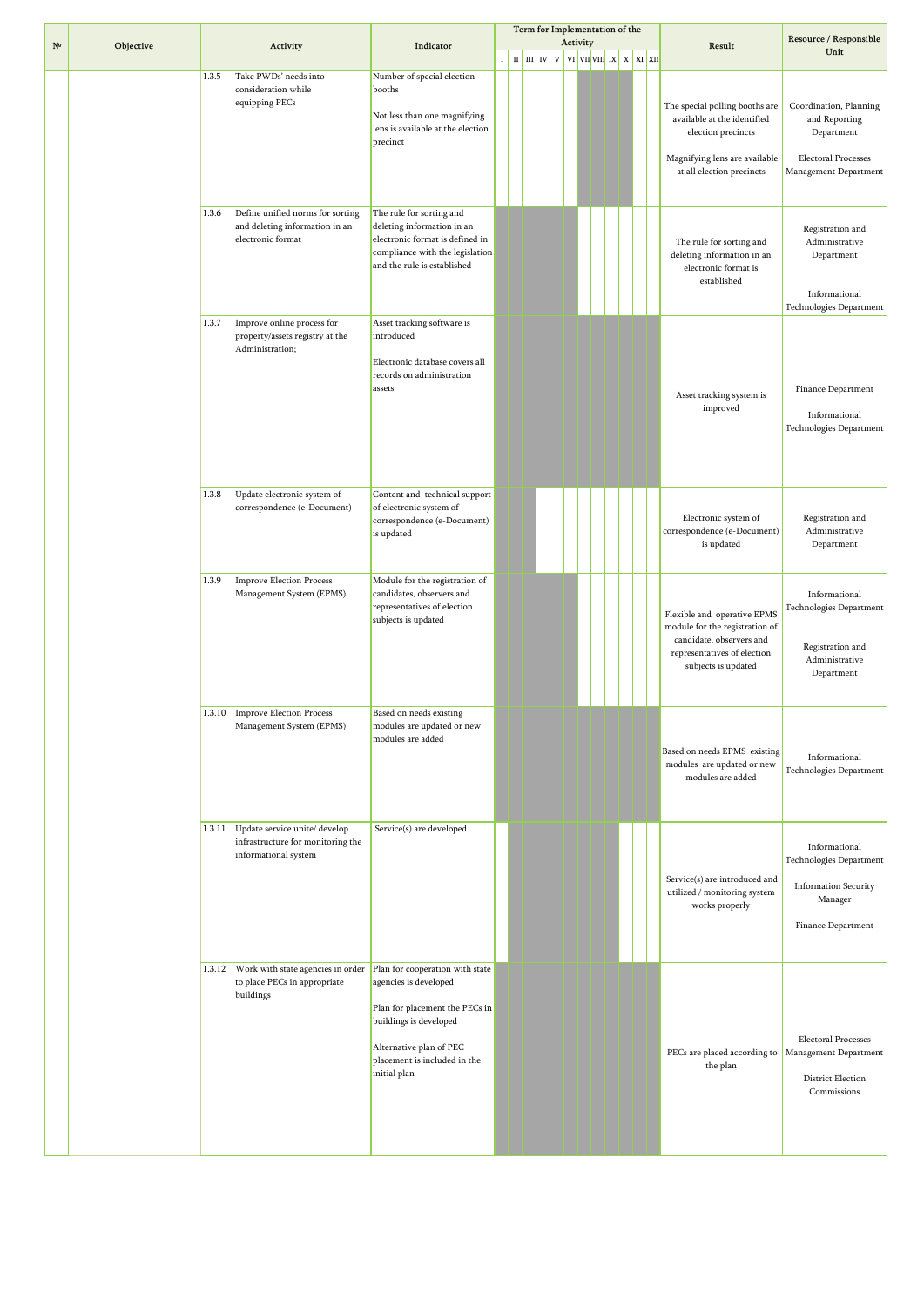|              |           |        |                                                                                            |                                                                                                                                                                                                 |  |  |  | Term for Implementation of the<br>Activity                                                                                                                                                           |  |  |                                                                                                                                                   | Resource / Responsible                                                                                       |
|--------------|-----------|--------|--------------------------------------------------------------------------------------------|-------------------------------------------------------------------------------------------------------------------------------------------------------------------------------------------------|--|--|--|------------------------------------------------------------------------------------------------------------------------------------------------------------------------------------------------------|--|--|---------------------------------------------------------------------------------------------------------------------------------------------------|--------------------------------------------------------------------------------------------------------------|
| $N^{\Omega}$ | Objective |        | Activity                                                                                   | Indicator                                                                                                                                                                                       |  |  |  | $\mathbf{r}$   $\mathbf{n}$   $\mathbf{m}$   $\mathbf{rv}$   $\mathbf{v}$   $\mathbf{vn}$   $\mathbf{vn}$   $\mathbf{vx}$   $\mathbf{x}$   $\mathbf{x}$   $\mathbf{x}$   $\mathbf{x}$   $\mathbf{x}$ |  |  | Result                                                                                                                                            | Unit                                                                                                         |
|              |           | 1.3.5  | Take PWDs' needs into<br>consideration while<br>equipping PECs                             | Number of special election<br>booths<br>Not less than one magnifying<br>lens is available at the election<br>precinct                                                                           |  |  |  |                                                                                                                                                                                                      |  |  | The special polling booths are<br>available at the identified<br>election precincts<br>Magnifying lens are available<br>at all election precincts | Coordination, Planning<br>and Reporting<br>Department<br><b>Electoral Processes</b><br>Management Department |
|              |           | 1.3.6  | Define unified norms for sorting<br>and deleting information in an<br>electronic format    | The rule for sorting and<br>deleting information in an<br>electronic format is defined in<br>compliance with the legislation<br>and the rule is established                                     |  |  |  |                                                                                                                                                                                                      |  |  | The rule for sorting and<br>deleting information in an<br>electronic format is<br>established                                                     | Registration and<br>Administrative<br>Department<br>Informational<br>Technologies Department                 |
|              |           | 1.3.7  | Improve online process for<br>property/assets registry at the<br>Administration;           | Asset tracking software is<br>introduced<br>Electronic database covers all<br>records on administration<br>assets                                                                               |  |  |  |                                                                                                                                                                                                      |  |  | Asset tracking system is<br>improved                                                                                                              | Finance Department<br>Informational<br><b>Technologies Department</b>                                        |
|              |           | 1.3.8  | Update electronic system of<br>correspondence (e-Document)                                 | Content and technical support<br>of electronic system of<br>correspondence (e-Document)<br>is updated                                                                                           |  |  |  |                                                                                                                                                                                                      |  |  | Electronic system of<br>correspondence (e-Document)<br>is updated                                                                                 | Registration and<br>Administrative<br>Department                                                             |
|              |           | 1.3.9  | <b>Improve Election Process</b><br>Management System (EPMS)                                | Module for the registration of<br>candidates, observers and<br>representatives of election<br>subjects is updated                                                                               |  |  |  |                                                                                                                                                                                                      |  |  | Flexible and operative EPMS<br>module for the registration of<br>candidate, observers and<br>representatives of election<br>subjects is updated   | Informational<br>Technologies Department<br>Registration and<br>Administrative<br>Department                 |
|              |           |        | 1.3.10 Improve Election Process<br>Management System (EPMS)                                | Based on needs existing<br>modules are updated or new<br>modules are added                                                                                                                      |  |  |  |                                                                                                                                                                                                      |  |  | Based on needs EPMS existing<br>modules are updated or new<br>modules are added                                                                   | Informational<br>Technologies Department                                                                     |
|              |           | 1.3.11 | Update service unite/ develop<br>infrastructure for monitoring the<br>informational system | Service(s) are developed                                                                                                                                                                        |  |  |  |                                                                                                                                                                                                      |  |  | Service(s) are introduced and<br>utilized / monitoring system<br>works properly                                                                   | Informational<br>Technologies Department<br><b>Information Security</b><br>Manager<br>Finance Department     |
|              |           |        | 1.3.12 Work with state agencies in order<br>to place PECs in appropriate<br>buildings      | Plan for cooperation with state<br>agencies is developed<br>Plan for placement the PECs in<br>buildings is developed<br>Alternative plan of PEC<br>placement is included in the<br>initial plan |  |  |  |                                                                                                                                                                                                      |  |  | PECs are placed according to Management Department<br>the plan                                                                                    | <b>Electoral Processes</b><br>District Election<br>Commissions                                               |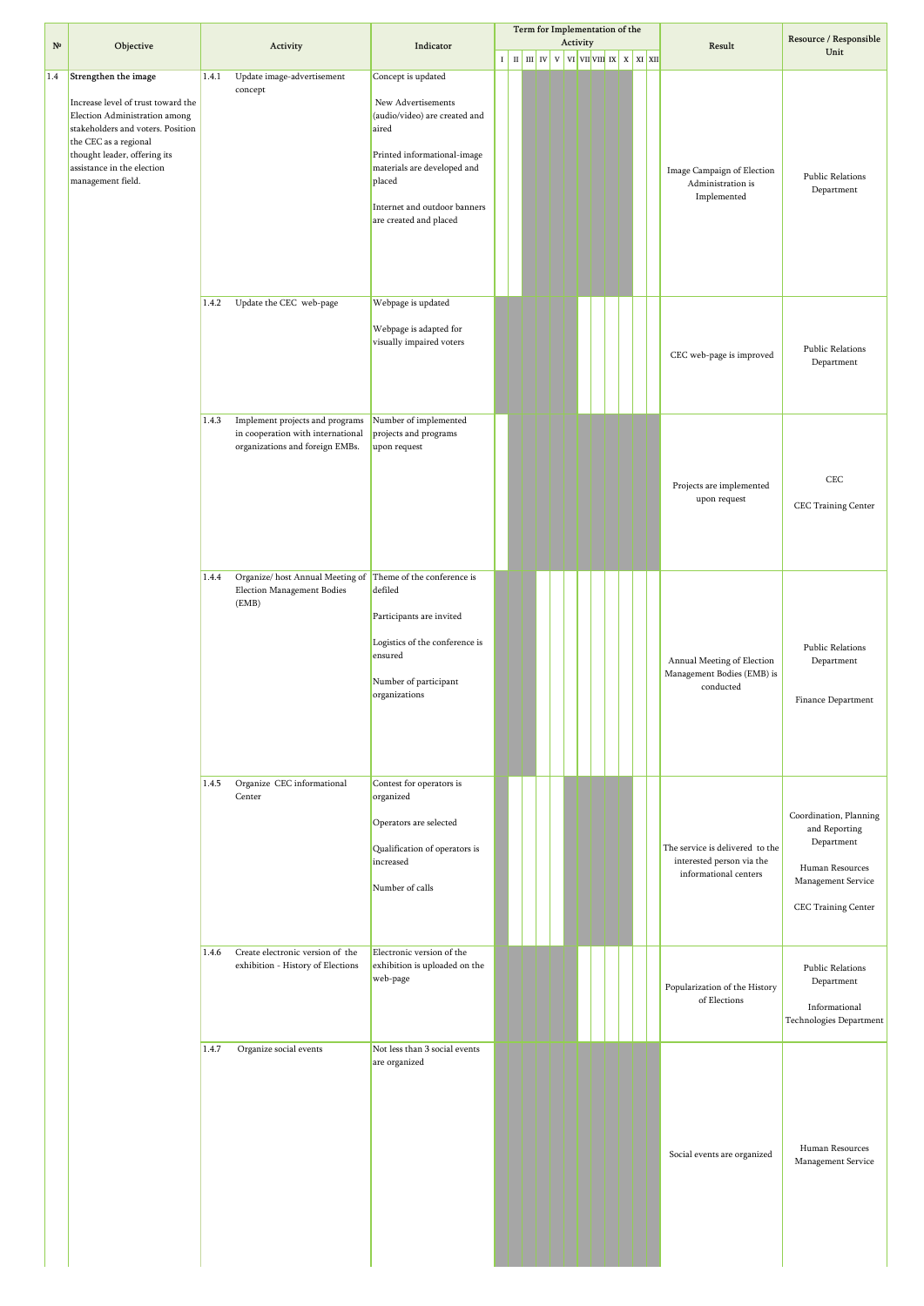| $N^{\circ}$ | Objective                                                                                                                                                                                                                                    |       | Activity                                                                                                | Indicator                                                                                                                                                                                                            |                                                         |  | Term for Implementation of the<br>Activity                                                 |  |  | Result                                                                                | Resource / Responsible                                                                                                |
|-------------|----------------------------------------------------------------------------------------------------------------------------------------------------------------------------------------------------------------------------------------------|-------|---------------------------------------------------------------------------------------------------------|----------------------------------------------------------------------------------------------------------------------------------------------------------------------------------------------------------------------|---------------------------------------------------------|--|--------------------------------------------------------------------------------------------|--|--|---------------------------------------------------------------------------------------|-----------------------------------------------------------------------------------------------------------------------|
|             |                                                                                                                                                                                                                                              |       |                                                                                                         |                                                                                                                                                                                                                      | $I$ $\parallel$ $II$ $\parallel$ $III$ $\parallel$ $IV$ |  | $\mathbf{v}$ vi $\mathbf{v}$ vi $\mathbf{v}$ vi $\mathbf{v}$ x $\mathbf{x}$ x $\mathbf{x}$ |  |  |                                                                                       | Unit                                                                                                                  |
| $1.4\,$     | Strengthen the image<br>Increase level of trust toward the<br>Election Administration among<br>stakeholders and voters. Position<br>the CEC as a regional<br>thought leader, offering its<br>assistance in the election<br>management field. | 1.4.1 | Update image-advertisement<br>concept                                                                   | Concept is updated<br>New Advertisements<br>(audio/video) are created and<br>aired<br>Printed informational-image<br>materials are developed and<br>placed<br>Internet and outdoor banners<br>are created and placed |                                                         |  |                                                                                            |  |  | Image Campaign of Election<br>Administration is<br>Implemented                        | Public Relations<br>Department                                                                                        |
|             |                                                                                                                                                                                                                                              | 1.4.2 | Update the CEC web-page                                                                                 | Webpage is updated<br>Webpage is adapted for<br>visually impaired voters                                                                                                                                             |                                                         |  |                                                                                            |  |  | CEC web-page is improved                                                              | <b>Public Relations</b><br>Department                                                                                 |
|             |                                                                                                                                                                                                                                              | 1.4.3 | Implement projects and programs<br>in cooperation with international<br>organizations and foreign EMBs. | Number of implemented<br>projects and programs<br>upon request                                                                                                                                                       |                                                         |  |                                                                                            |  |  | Projects are implemented<br>upon request                                              | CEC<br>CEC Training Center                                                                                            |
|             |                                                                                                                                                                                                                                              | 1.4.4 | Organize/host Annual Meeting of<br>Election Management Bodies<br>(EMB)                                  | Theme of the conference is<br>defiled<br>Participants are invited<br>Logistics of the conference is<br>ensured<br>Number of participant<br>organizations                                                             |                                                         |  |                                                                                            |  |  | Annual Meeting of Election<br>Management Bodies (EMB) is<br>conducted                 | Public Relations<br>Department<br>Finance Department                                                                  |
|             |                                                                                                                                                                                                                                              | 1.4.5 | Organize CEC informational<br>Center                                                                    | Contest for operators is<br>organized<br>Operators are selected<br>Qualification of operators is<br>increased<br>Number of calls                                                                                     |                                                         |  |                                                                                            |  |  | The service is delivered to the<br>interested person via the<br>informational centers | Coordination, Planning<br>and Reporting<br>Department<br>Human Resources<br>Management Service<br>CEC Training Center |
|             |                                                                                                                                                                                                                                              | 1.4.6 | Create electronic version of the<br>exhibition - History of Elections                                   | Electronic version of the<br>exhibition is uploaded on the<br>web-page                                                                                                                                               |                                                         |  |                                                                                            |  |  | Popularization of the History<br>of Elections                                         | Public Relations<br>Department<br>Informational<br>Technologies Department                                            |
|             |                                                                                                                                                                                                                                              | 1.4.7 | Organize social events                                                                                  | Not less than 3 social events<br>are organized                                                                                                                                                                       |                                                         |  |                                                                                            |  |  | Social events are organized                                                           | Human Resources<br>Management Service                                                                                 |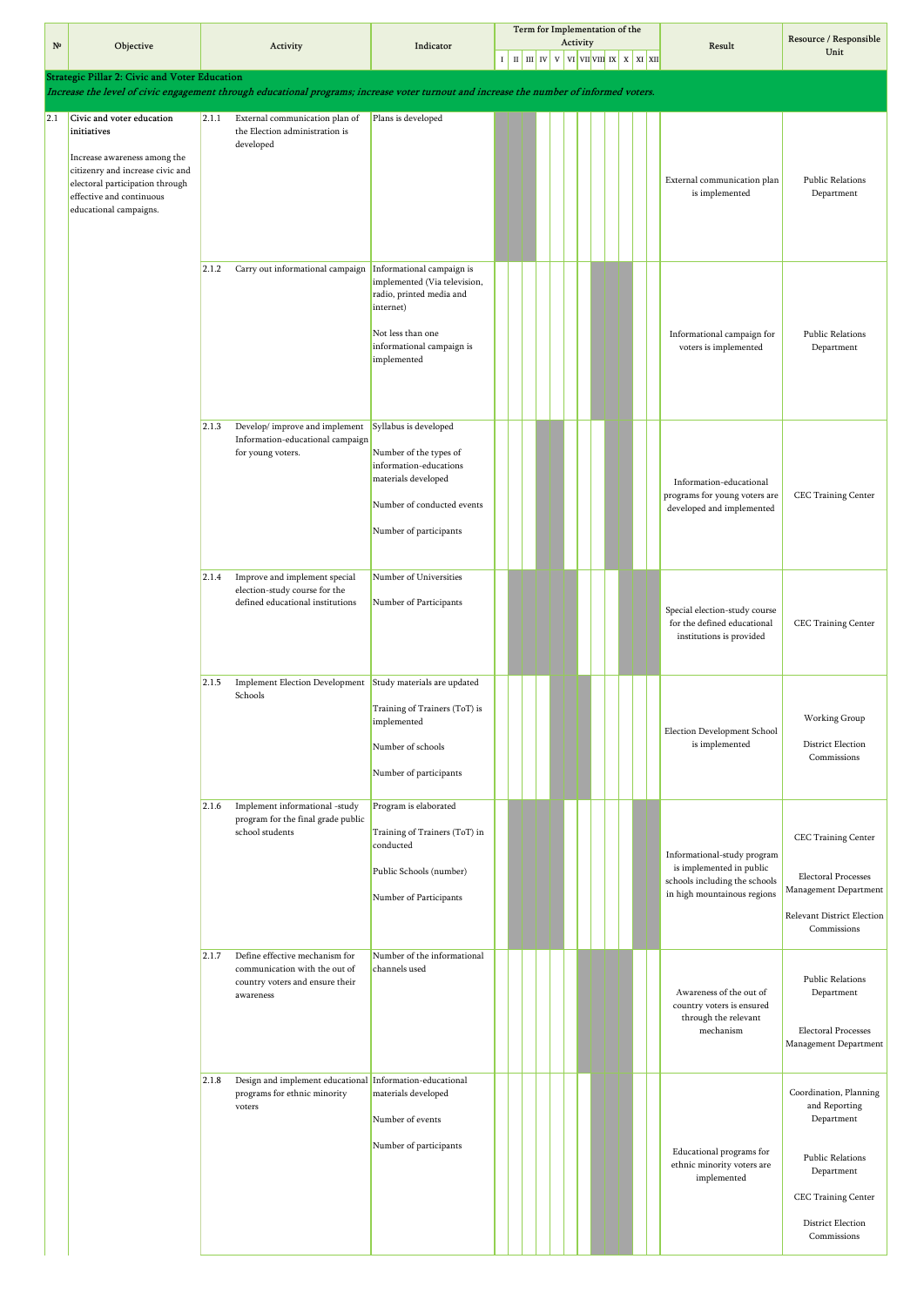|             |                                                                                                                                                                                                       |       |                                                                                                                                         |                                                                                                                                                                     |  | Term for Implementation of the                                                                                                                              |  | Activity |  |  |                                                                                                                         | Resource / Responsible                                                                                                                                           |
|-------------|-------------------------------------------------------------------------------------------------------------------------------------------------------------------------------------------------------|-------|-----------------------------------------------------------------------------------------------------------------------------------------|---------------------------------------------------------------------------------------------------------------------------------------------------------------------|--|-------------------------------------------------------------------------------------------------------------------------------------------------------------|--|----------|--|--|-------------------------------------------------------------------------------------------------------------------------|------------------------------------------------------------------------------------------------------------------------------------------------------------------|
| $N^{\circ}$ | Objective                                                                                                                                                                                             |       | Activity                                                                                                                                | Indicator                                                                                                                                                           |  | $\begin{bmatrix} 1 & \text{m} & \text{m} & \text{iv} & \text{v} & \text{v} & \text{v} & \text{v} & \text{v} & \text{v} & \text{v} & \text{v} \end{bmatrix}$ |  |          |  |  | Result                                                                                                                  | Unit                                                                                                                                                             |
|             | <b>Strategic Pillar 2: Civic and Voter Education</b>                                                                                                                                                  |       |                                                                                                                                         |                                                                                                                                                                     |  |                                                                                                                                                             |  |          |  |  |                                                                                                                         |                                                                                                                                                                  |
|             |                                                                                                                                                                                                       |       | Increase the level of civic engagement through educational programs; increase voter turnout and increase the number of informed voters. |                                                                                                                                                                     |  |                                                                                                                                                             |  |          |  |  |                                                                                                                         |                                                                                                                                                                  |
| 2.1         | Civic and voter education<br>initiatives<br>Increase awareness among the<br>citizenry and increase civic and<br>electoral participation through<br>effective and continuous<br>educational campaigns. | 2.1.1 | External communication plan of<br>the Election administration is<br>developed                                                           | Plans is developed                                                                                                                                                  |  |                                                                                                                                                             |  |          |  |  | External communication plan<br>is implemented                                                                           | <b>Public Relations</b><br>Department                                                                                                                            |
|             |                                                                                                                                                                                                       | 2.1.2 | Carry out informational campaign                                                                                                        | Informational campaign is<br>implemented (Via television,<br>radio, printed media and<br>internet)<br>Not less than one<br>informational campaign is<br>implemented |  |                                                                                                                                                             |  |          |  |  | Informational campaign for<br>voters is implemented                                                                     | <b>Public Relations</b><br>Department                                                                                                                            |
|             |                                                                                                                                                                                                       | 2.1.3 | Develop/improve and implement<br>Information-educational campaign<br>for young voters.                                                  | Syllabus is developed<br>Number of the types of<br>information-educations<br>materials developed<br>Number of conducted events<br>Number of participants            |  |                                                                                                                                                             |  |          |  |  | Information-educational<br>programs for young voters are<br>developed and implemented                                   | CEC Training Center                                                                                                                                              |
|             |                                                                                                                                                                                                       | 2.1.4 | Improve and implement special<br>election-study course for the<br>defined educational institutions                                      | Number of Universities<br>Number of Participants                                                                                                                    |  |                                                                                                                                                             |  |          |  |  | Special election-study course<br>for the defined educational<br>institutions is provided                                | CEC Training Center                                                                                                                                              |
|             |                                                                                                                                                                                                       | 2.1.5 | Implement Election Development Study materials are updated<br>Schools                                                                   | Training of Trainers (ToT) is<br>implemented<br>Number of schools<br>Number of participants                                                                         |  |                                                                                                                                                             |  |          |  |  | Election Development School<br>is implemented                                                                           | Working Group<br>District Election<br>Commissions                                                                                                                |
|             |                                                                                                                                                                                                       | 2.1.6 | Implement informational -study<br>program for the final grade public<br>school students                                                 | Program is elaborated<br>Training of Trainers (ToT) in<br>conducted<br>Public Schools (number)<br>Number of Participants                                            |  |                                                                                                                                                             |  |          |  |  | Informational-study program<br>is implemented in public<br>schools including the schools<br>in high mountainous regions | CEC Training Center<br><b>Electoral Processes</b><br>Management Department<br>Relevant District Election<br>Commissions                                          |
|             |                                                                                                                                                                                                       | 2.1.7 | Define effective mechanism for<br>communication with the out of<br>country voters and ensure their<br>awareness                         | Number of the informational<br>channels used                                                                                                                        |  |                                                                                                                                                             |  |          |  |  | Awareness of the out of<br>country voters is ensured<br>through the relevant<br>mechanism                               | <b>Public Relations</b><br>Department<br>Electoral Processes<br>Management Department                                                                            |
|             |                                                                                                                                                                                                       | 2.1.8 | Design and implement educational Information-educational<br>programs for ethnic minority<br>voters                                      | materials developed<br>Number of events<br>Number of participants                                                                                                   |  |                                                                                                                                                             |  |          |  |  | Educational programs for<br>ethnic minority voters are<br>implemented                                                   | Coordination, Planning<br>and Reporting<br>Department<br><b>Public Relations</b><br>Department<br>CEC Training Center<br><b>District Election</b><br>Commissions |

 $\overline{2}$ .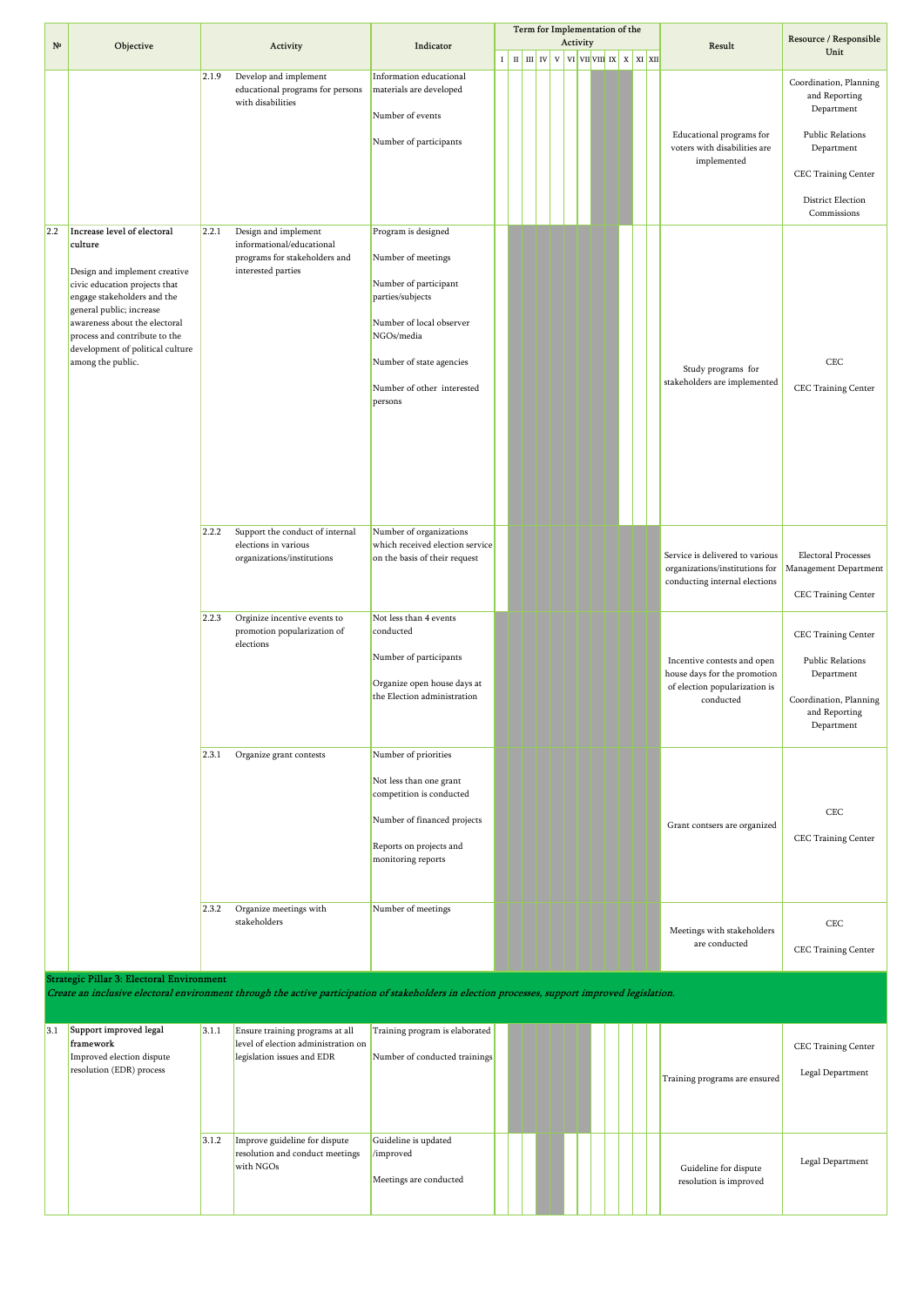|              |                                                                                                                                                                                                                                                                                                |       |                                                                                                          |                                                                                                                                                                                                       |         |  |          | Term for Implementation of the                                                                                                                                                                                                                                        |  |                                                                                                           |                                                                                                                                                           |
|--------------|------------------------------------------------------------------------------------------------------------------------------------------------------------------------------------------------------------------------------------------------------------------------------------------------|-------|----------------------------------------------------------------------------------------------------------|-------------------------------------------------------------------------------------------------------------------------------------------------------------------------------------------------------|---------|--|----------|-----------------------------------------------------------------------------------------------------------------------------------------------------------------------------------------------------------------------------------------------------------------------|--|-----------------------------------------------------------------------------------------------------------|-----------------------------------------------------------------------------------------------------------------------------------------------------------|
| $N^{\Omega}$ | Objective                                                                                                                                                                                                                                                                                      |       | Activity                                                                                                 | Indicator                                                                                                                                                                                             |         |  | Activity |                                                                                                                                                                                                                                                                       |  | Result                                                                                                    | Resource / Responsible<br>Unit                                                                                                                            |
|              |                                                                                                                                                                                                                                                                                                |       |                                                                                                          |                                                                                                                                                                                                       | $\bf I$ |  |          | $\left  \begin{array}{c c c c c} \hline \ \text{ii} & \text{iii} \end{array} \right $ v $\left  \begin{array}{c c c} \text{vi} & \text{vii} & \text{ivii} \end{array} \right $ x $\left  \begin{array}{c c c} \text{x} & \text{x} & \text{ixiii} \end{array} \right $ |  |                                                                                                           |                                                                                                                                                           |
|              |                                                                                                                                                                                                                                                                                                | 2.1.9 | Develop and implement<br>educational programs for persons<br>with disabilities                           | Information educational<br>materials are developed<br>Number of events<br>Number of participants                                                                                                      |         |  |          |                                                                                                                                                                                                                                                                       |  | Educational programs for<br>voters with disabilities are<br>implemented                                   | Coordination, Planning<br>and Reporting<br>Department<br><b>Public Relations</b><br>Department<br>CEC Training Center<br>District Election<br>Commissions |
| 2.2          | Increase level of electoral<br>culture<br>Design and implement creative<br>civic education projects that<br>engage stakeholders and the<br>general public; increase<br>awareness about the electoral<br>process and contribute to the<br>development of political culture<br>among the public. | 2.2.1 | Design and implement<br>informational/educational<br>programs for stakeholders and<br>interested parties | Program is designed<br>Number of meetings<br>Number of participant<br>parties/subjects<br>Number of local observer<br>NGOs/media<br>Number of state agencies<br>Number of other interested<br>persons |         |  |          |                                                                                                                                                                                                                                                                       |  | Study programs for<br>stakeholders are implemented                                                        | CEC<br><b>CEC Training Center</b>                                                                                                                         |
|              |                                                                                                                                                                                                                                                                                                | 2.2.2 | Support the conduct of internal<br>elections in various<br>organizations/institutions                    | Number of organizations<br>which received election service<br>on the basis of their request                                                                                                           |         |  |          |                                                                                                                                                                                                                                                                       |  | Service is delivered to various<br>organizations/institutions for<br>conducting internal elections        | Electoral Processes<br>Management Department<br>CEC Training Center                                                                                       |
|              |                                                                                                                                                                                                                                                                                                | 2.2.3 | Orginize incentive events to<br>promotion popularization of<br>elections                                 | Not less than 4 events<br>conducted<br>Number of participants<br>Organize open house days at<br>the Election administration                                                                           |         |  |          |                                                                                                                                                                                                                                                                       |  | Incentive contests and open<br>house days for the promotion<br>of election popularization is<br>conducted | <b>CEC Training Center</b><br><b>Public Relations</b><br>Department<br>Coordination, Planning<br>and Reporting<br>Department                              |
|              |                                                                                                                                                                                                                                                                                                | 2.3.1 | Organize grant contests                                                                                  | Number of priorities<br>Not less than one grant<br>competition is conducted<br>Number of financed projects<br>Reports on projects and<br>monitoring reports                                           |         |  |          |                                                                                                                                                                                                                                                                       |  | Grant contsers are organized                                                                              | CEC<br><b>CEC Training Center</b>                                                                                                                         |
|              |                                                                                                                                                                                                                                                                                                | 2.3.2 | Organize meetings with<br>stakeholders                                                                   | Number of meetings                                                                                                                                                                                    |         |  |          |                                                                                                                                                                                                                                                                       |  | Meetings with stakeholders<br>are conducted                                                               | CEC<br>CEC Training Center                                                                                                                                |

**Strategic Pillar 3: Electoral Environment**

**Create an inclusive electoral environment through the active participation of stakeholders in election processes, support improved legislation.**

| 3.1 | Support improved legal    | 3.1.1 | Ensure training programs at all     | Training program is elaborated |  |  |  |  |                               |                            |
|-----|---------------------------|-------|-------------------------------------|--------------------------------|--|--|--|--|-------------------------------|----------------------------|
|     | framework                 |       | level of election administration on |                                |  |  |  |  |                               | <b>CEC Training Center</b> |
|     | Improved election dispute |       | legislation issues and EDR          | Number of conducted trainings  |  |  |  |  |                               |                            |
|     | resolution (EDR) process  |       |                                     |                                |  |  |  |  | Training programs are ensured | Legal Department           |
|     |                           |       |                                     |                                |  |  |  |  |                               |                            |
|     |                           |       |                                     |                                |  |  |  |  |                               |                            |
|     |                           |       |                                     |                                |  |  |  |  |                               |                            |
|     |                           | 3.1.2 | Improve guideline for dispute       | Guideline is updated           |  |  |  |  |                               |                            |
|     |                           |       | resolution and conduct meetings     | /improved                      |  |  |  |  |                               |                            |
|     |                           |       | with NGOs                           |                                |  |  |  |  | Guideline for dispute         | Legal Department           |
|     |                           |       |                                     | Meetings are conducted         |  |  |  |  | resolution is improved        |                            |
|     |                           |       |                                     |                                |  |  |  |  |                               |                            |
|     |                           |       |                                     |                                |  |  |  |  |                               |                            |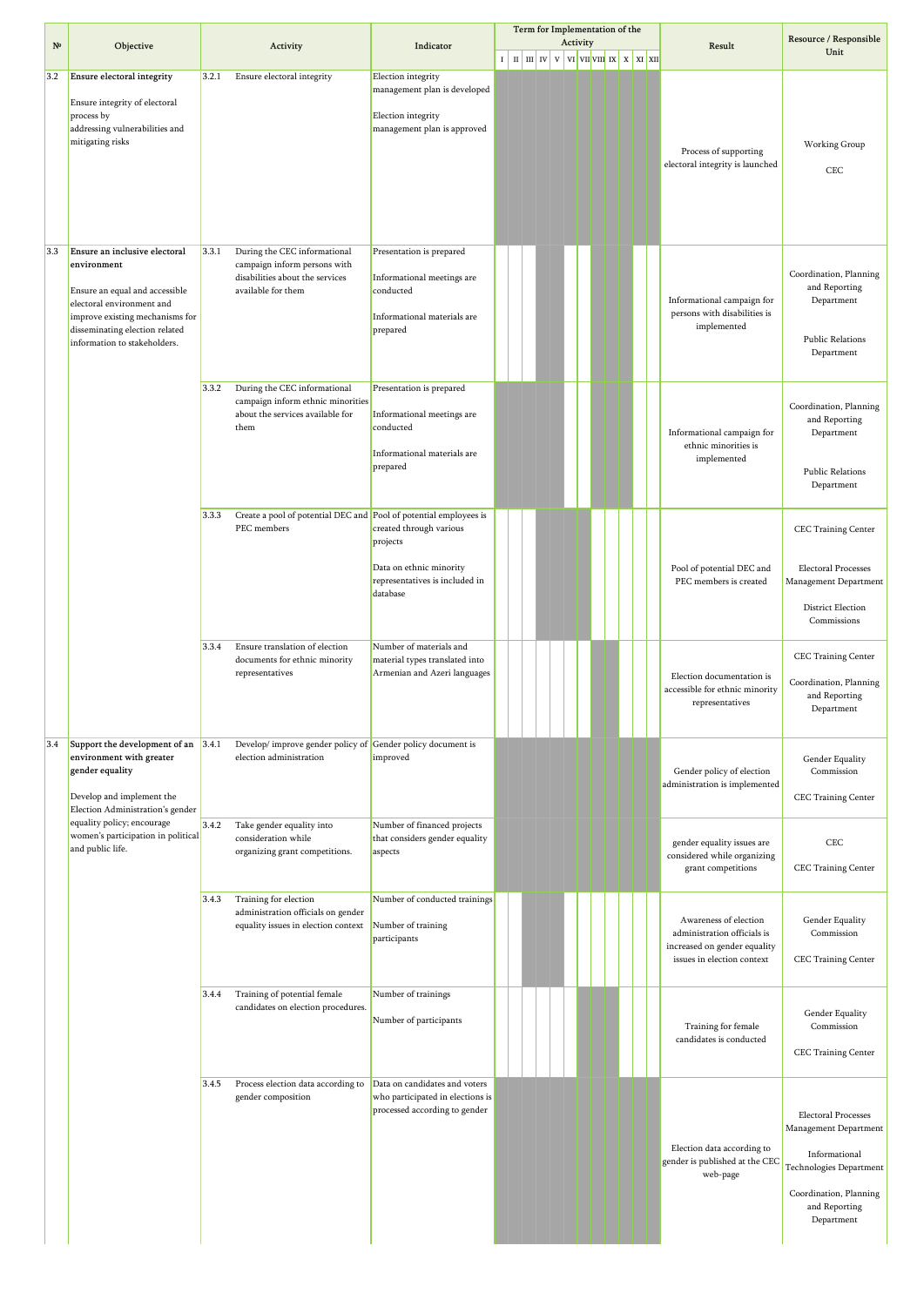|             |                                                                                                                                                                                                                  |                                                                                                                                |                                                                                                                |        |  |  | Activity | Term for Implementation of the                                   |  |                                                                                                                    | Resource / Responsible                                                                                                                                   |
|-------------|------------------------------------------------------------------------------------------------------------------------------------------------------------------------------------------------------------------|--------------------------------------------------------------------------------------------------------------------------------|----------------------------------------------------------------------------------------------------------------|--------|--|--|----------|------------------------------------------------------------------|--|--------------------------------------------------------------------------------------------------------------------|----------------------------------------------------------------------------------------------------------------------------------------------------------|
| $N^{\circ}$ | Objective                                                                                                                                                                                                        | Activity                                                                                                                       | Indicator                                                                                                      | $\;$ I |  |  |          | $\ $ II $\ $ IV $\ $ V $\ $ VI $\ $ VIII $\ $ IX $\ $ X $\ $ XII |  | Result                                                                                                             | Unit                                                                                                                                                     |
| 3.2         | Ensure electoral integrity<br>Ensure integrity of electoral<br>process by<br>addressing vulnerabilities and<br>mitigating risks                                                                                  | 3.2.1<br>Ensure electoral integrity                                                                                            | Election integrity<br>management plan is developed<br>Election integrity<br>management plan is approved        |        |  |  |          |                                                                  |  | Process of supporting<br>electoral integrity is launched                                                           | Working Group<br>CEC                                                                                                                                     |
| 3.3         | Ensure an inclusive electoral<br>environment<br>Ensure an equal and accessible<br>electoral environment and<br>improve existing mechanisms for<br>disseminating election related<br>information to stakeholders. | 3.3.1<br>During the CEC informational<br>campaign inform persons with<br>disabilities about the services<br>available for them | Presentation is prepared<br>Informational meetings are<br>conducted<br>Informational materials are<br>prepared |        |  |  |          |                                                                  |  | Informational campaign for<br>persons with disabilities is<br>implemented                                          | Coordination, Planning<br>and Reporting<br>Department<br><b>Public Relations</b><br>Department                                                           |
|             |                                                                                                                                                                                                                  | 3.3.2<br>During the CEC informational<br>campaign inform ethnic minorities<br>about the services available for<br>them         | Presentation is prepared<br>Informational meetings are<br>conducted<br>Informational materials are<br>prepared |        |  |  |          |                                                                  |  | Informational campaign for<br>ethnic minorities is<br>implemented                                                  | Coordination, Planning<br>and Reporting<br>Department<br><b>Public Relations</b><br>Department                                                           |
|             |                                                                                                                                                                                                                  | Create a pool of potential DEC and Pool of potential employees is<br>3.3.3<br>PEC members                                      | created through various<br>projects<br>Data on ethnic minority<br>representatives is included in<br>database   |        |  |  |          |                                                                  |  | Pool of potential DEC and<br>PEC members is created                                                                | CEC Training Center<br><b>Electoral Processes</b><br>Management Department<br><b>District Election</b><br>Commissions                                    |
|             |                                                                                                                                                                                                                  | 3.3.4<br>Ensure translation of election<br>documents for ethnic minority<br>representatives                                    | Number of materials and<br>material types translated into<br>Armenian and Azeri languages                      |        |  |  |          |                                                                  |  | Election documentation is<br>accessible for ethnic minority<br>representatives                                     | <b>CEC Training Center</b><br>Coordination, Planning<br>and Reporting<br>Department                                                                      |
| 3.4         | Support the development of an 3.4.1<br>environment with greater<br>gender equality<br>Develop and implement the<br>Election Administration's gender                                                              | Develop/ improve gender policy of Gender policy document is<br>election administration                                         | improved                                                                                                       |        |  |  |          |                                                                  |  | Gender policy of election<br>administration is implemented                                                         | Gender Equality<br>Commission<br>CEC Training Center                                                                                                     |
|             | equality policy; encourage<br>women's participation in political<br>and public life.                                                                                                                             | 3.4.2<br>Take gender equality into<br>consideration while<br>organizing grant competitions.                                    | Number of financed projects<br>that considers gender equality<br>aspects                                       |        |  |  |          |                                                                  |  | gender equality issues are<br>considered while organizing<br>grant competitions                                    | CEC<br><b>CEC Training Center</b>                                                                                                                        |
|             |                                                                                                                                                                                                                  | 3.4.3<br>Training for election<br>administration officials on gender<br>equality issues in election context                    | Number of conducted trainings<br>Number of training<br>participants                                            |        |  |  |          |                                                                  |  | Awareness of election<br>administration officials is<br>increased on gender equality<br>issues in election context | Gender Equality<br>Commission<br>CEC Training Center                                                                                                     |
|             |                                                                                                                                                                                                                  | Training of potential female<br>3.4.4<br>candidates on election procedures.                                                    | Number of trainings<br>Number of participants                                                                  |        |  |  |          |                                                                  |  | Training for female<br>candidates is conducted                                                                     | Gender Equality<br>Commission<br>CEC Training Center                                                                                                     |
|             |                                                                                                                                                                                                                  | Process election data according to<br>3.4.5<br>gender composition                                                              | Data on candidates and voters<br>who participated in elections is<br>processed according to gender             |        |  |  |          |                                                                  |  | Election data according to<br>gender is published at the CEC<br>web-page                                           | <b>Electoral Processes</b><br>Management Department<br>Informational<br>Technologies Department<br>Coordination, Planning<br>and Reporting<br>Department |